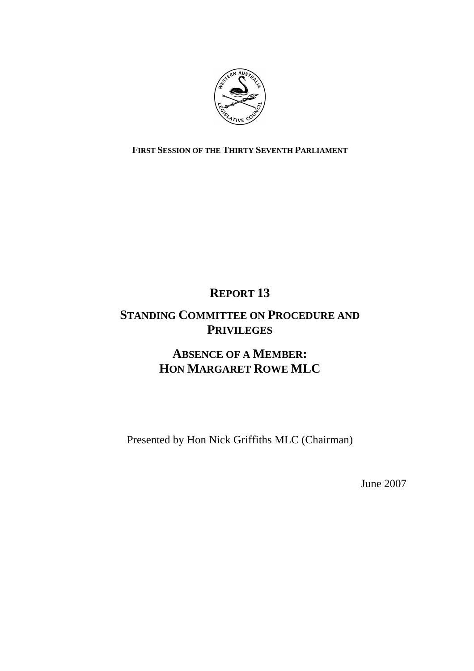

**FIRST SESSION OF THE THIRTY SEVENTH PARLIAMENT**

## **REPORT 13**

## **STANDING COMMITTEE ON PROCEDURE AND PRIVILEGES**

## **ABSENCE OF A MEMBER: HON MARGARET ROWE MLC**

Presented by Hon Nick Griffiths MLC (Chairman)

June 2007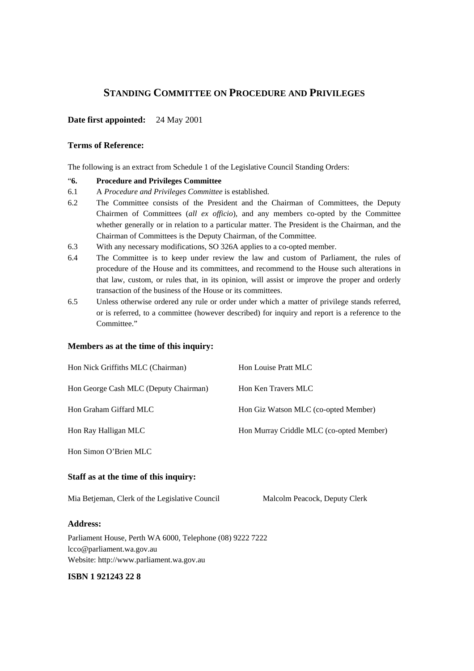#### **STANDING COMMITTEE ON PROCEDURE AND PRIVILEGES**

#### **Date first appointed:** 24 May 2001

#### **Terms of Reference:**

The following is an extract from Schedule 1 of the Legislative Council Standing Orders:

#### "**6. Procedure and Privileges Committee**

- 6.1 A *Procedure and Privileges Committee* is established.
- 6.2 The Committee consists of the President and the Chairman of Committees, the Deputy Chairmen of Committees (*all ex officio*), and any members co-opted by the Committee whether generally or in relation to a particular matter. The President is the Chairman, and the Chairman of Committees is the Deputy Chairman, of the Committee.
- 6.3 With any necessary modifications, SO 326A applies to a co-opted member.
- 6.4 The Committee is to keep under review the law and custom of Parliament, the rules of procedure of the House and its committees, and recommend to the House such alterations in that law, custom, or rules that, in its opinion, will assist or improve the proper and orderly transaction of the business of the House or its committees.
- 6.5 Unless otherwise ordered any rule or order under which a matter of privilege stands referred, or is referred, to a committee (however described) for inquiry and report is a reference to the Committee."

#### **Members as at the time of this inquiry:**

| Hon Nick Griffiths MLC (Chairman)     | Hon Louise Pratt MLC                     |
|---------------------------------------|------------------------------------------|
| Hon George Cash MLC (Deputy Chairman) | Hon Ken Travers MLC                      |
| Hon Graham Giffard MLC                | Hon Giz Watson MLC (co-opted Member)     |
| Hon Ray Halligan MLC                  | Hon Murray Criddle MLC (co-opted Member) |
| Hon Simon O'Brien MLC                 |                                          |

#### **Staff as at the time of this inquiry:**

Mia Betjeman, Clerk of the Legislative Council Malcolm Peacock, Deputy Clerk

#### **Address:**

Parliament House, Perth WA 6000, Telephone (08) 9222 7222 lcco@parliament.wa.gov.au Website: http://www.parliament.wa.gov.au

#### **ISBN 1 921243 22 8**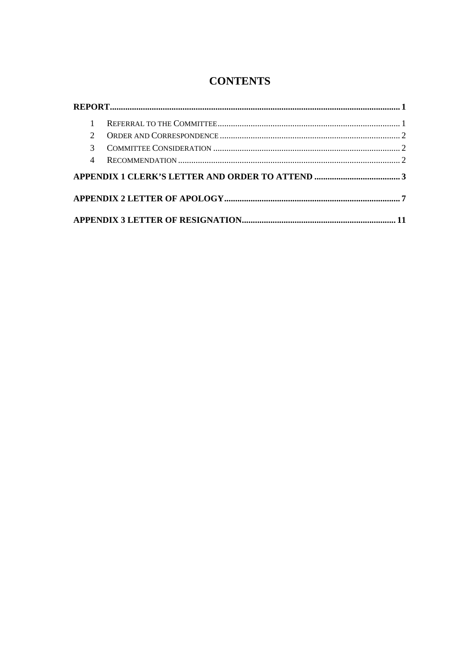### **CONTENTS**

| $\mathcal{D}$ |  |  |
|---------------|--|--|
| $\mathcal{R}$ |  |  |
| 4             |  |  |
|               |  |  |
|               |  |  |
|               |  |  |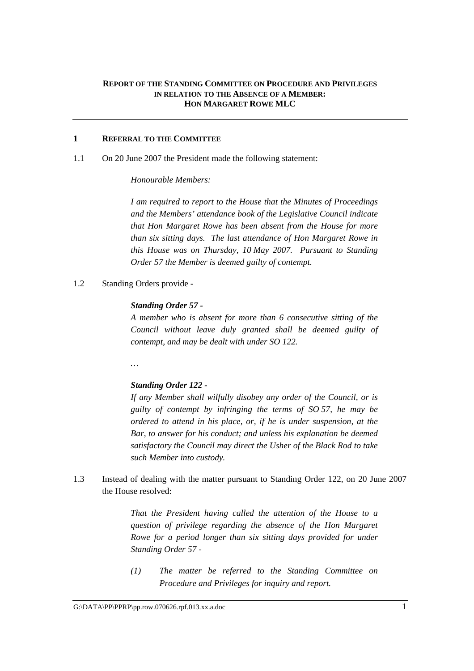#### **REPORT OF THE STANDING COMMITTEE ON PROCEDURE AND PRIVILEGES IN RELATION TO THE ABSENCE OF A MEMBER: HON MARGARET ROWE MLC**

#### **1 REFERRAL TO THE COMMITTEE**

1.1 On 20 June 2007 the President made the following statement:

#### *Honourable Members:*

*I am required to report to the House that the Minutes of Proceedings and the Members' attendance book of the Legislative Council indicate that Hon Margaret Rowe has been absent from the House for more than six sitting days. The last attendance of Hon Margaret Rowe in this House was on Thursday, 10 May 2007. Pursuant to Standing Order 57 the Member is deemed guilty of contempt.* 

1.2 Standing Orders provide -

#### *Standing Order 57 -*

*A member who is absent for more than 6 consecutive sitting of the Council without leave duly granted shall be deemed guilty of contempt, and may be dealt with under SO 122.* 

*…* 

#### *Standing Order 122 -*

*If any Member shall wilfully disobey any order of the Council, or is guilty of contempt by infringing the terms of SO 57, he may be ordered to attend in his place, or, if he is under suspension, at the Bar, to answer for his conduct; and unless his explanation be deemed satisfactory the Council may direct the Usher of the Black Rod to take such Member into custody.* 

1.3 Instead of dealing with the matter pursuant to Standing Order 122, on 20 June 2007 the House resolved:

> *That the President having called the attention of the House to a question of privilege regarding the absence of the Hon Margaret Rowe for a period longer than six sitting days provided for under Standing Order 57 -*

> *(1) The matter be referred to the Standing Committee on Procedure and Privileges for inquiry and report.*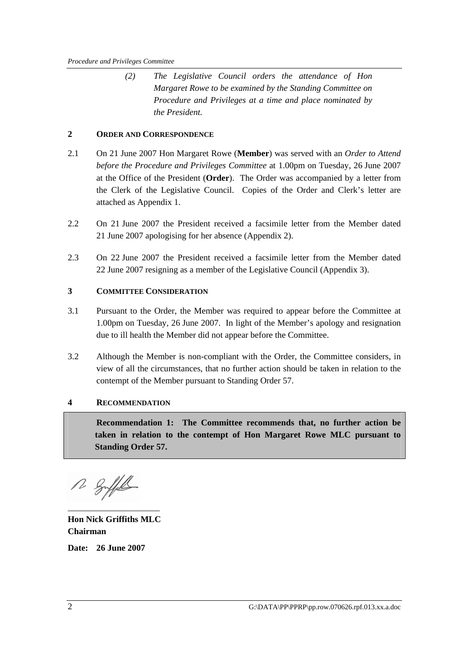*(2) The Legislative Council orders the attendance of Hon Margaret Rowe to be examined by the Standing Committee on Procedure and Privileges at a time and place nominated by the President.* 

#### **2 ORDER AND CORRESPONDENCE**

- 2.1 On 21 June 2007 Hon Margaret Rowe (**Member**) was served with an *Order to Attend before the Procedure and Privileges Committee* at 1.00pm on Tuesday, 26 June 2007 at the Office of the President (**Order**). The Order was accompanied by a letter from the Clerk of the Legislative Council. Copies of the Order and Clerk's letter are attached as Appendix 1.
- 2.2 On 21 June 2007 the President received a facsimile letter from the Member dated 21 June 2007 apologising for her absence (Appendix 2).
- 2.3 On 22 June 2007 the President received a facsimile letter from the Member dated 22 June 2007 resigning as a member of the Legislative Council (Appendix 3).

#### **3 COMMITTEE CONSIDERATION**

- 3.1 Pursuant to the Order, the Member was required to appear before the Committee at 1.00pm on Tuesday, 26 June 2007. In light of the Member's apology and resignation due to ill health the Member did not appear before the Committee.
- 3.2 Although the Member is non-compliant with the Order, the Committee considers, in view of all the circumstances, that no further action should be taken in relation to the contempt of the Member pursuant to Standing Order 57.

#### **4 RECOMMENDATION**

**Recommendation 1: The Committee recommends that, no further action be taken in relation to the contempt of Hon Margaret Rowe MLC pursuant to Standing Order 57.**

R Suffel \_\_\_\_\_\_\_\_\_\_\_\_\_\_\_\_\_\_\_\_\_

**Hon Nick Griffiths MLC Chairman** 

**Date: 26 June 2007**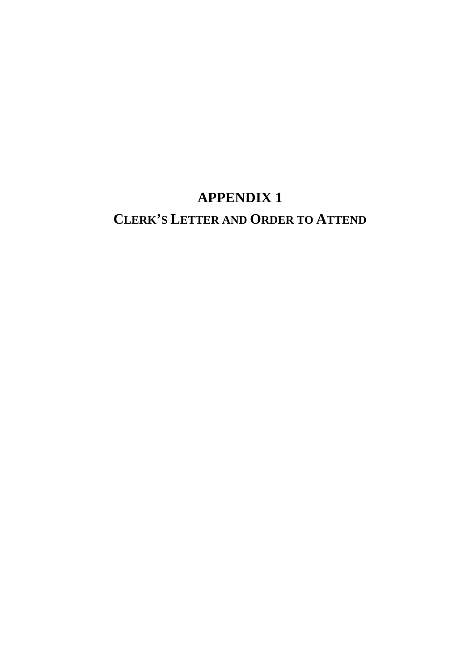# **APPENDIX 1 CLERK'S LETTER AND ORDER TO ATTEND**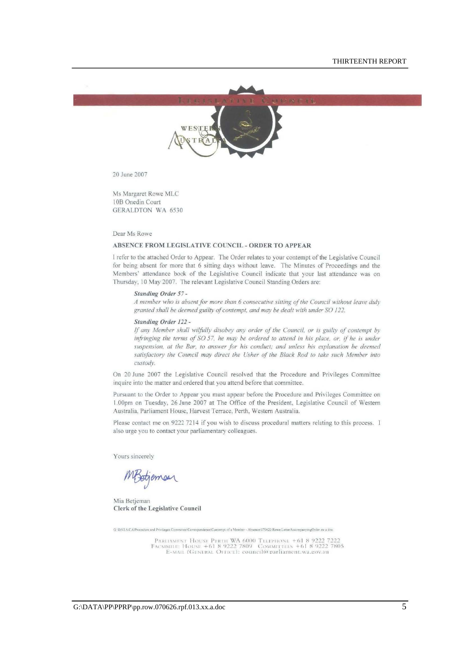

20 June 2007

Ms Margaret Rowe MLC lOB Onedin Court GERALDTON WA 6530

Dear Ms Rowe

#### ABSENCE FROM LEGISLATIVE COUNCIL - ORDER TO APPEAR

I refer to the attached Order to Appear. The Order relates to your contempt of the Legislative Council for being absent for more Ihat 6 sitting days without leave. The Minutes of Proceedings and the Members' attendance book of the Legislative Council indicate that your last attendance was on Thursday, 10 May 2007. The relevant Legislative Council Standing Orders are:

#### *Slunding Order* 57-

*A member who is absenrfor more than* 6 *consecutive silting of the Council without {em'e dilly gramed shall he deemed guilty of conrempr. and may be dealr with under* SO /22.

#### **Standing Order 122 -**

If any Member shall wilfully disobey any order of the Council, or is guilty of contempt by *infringing the terms of SO 57, he may be ordered to attend in his place, or, if he is under* suspension, at the Bar, to answer for his conduct; and unless his explanation be deemed satisfactory the Council may direct the Usher of the Black Rod to take such Member into *custody.* 

On 20 June 2007 the Legislative Council resolved that the Procedure and Privileges Committee inquire into the matter and ordered that you attend before that committee.

Pursuant to the Order to Appear you must appear before the Procedure and Privileges Committee on I.OOpm on Tuesday. 26 June 2007 at The Office of the President, Legislative Council of Western Australia. Parliament House, Harvest Terrace, Perth, Western Australia.

Please contact me on 9222 7214 if you wish to discuss procedural matters relating to this process. I also urge you to contact your parliamentary colleagues.

Yours sincerely

MBetjemen

Mia Betjeman Clerk of the Legislative Council

G-DATA/CA/Procedure and Privileges Committee/Correspondence/Contempt of a Member - Absence/070620 Rowe LetterAccompanyingOrder.mr a doc

PARLIAMENT HOUSE PERTII WA 6000 TELEPHONE +61 8 9222 7222<br>FACSIMILE: HOUSE +61 8 9222 7809 COMMITTEES +61 8 9222 7805<br>E-MAIL (GENERAL OFFICE): council@parliament.wa.gov.au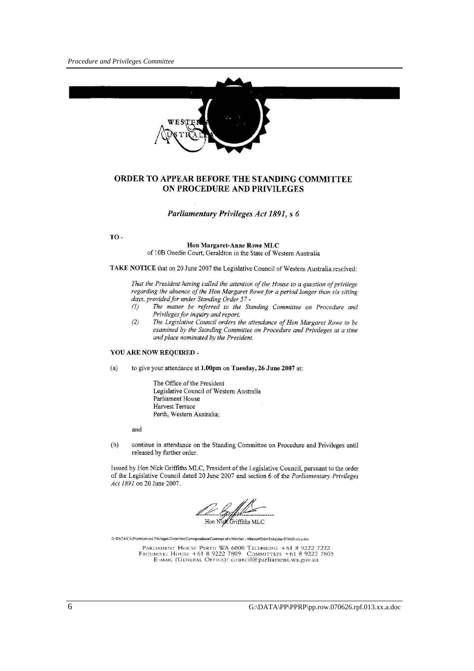

#### ORDER TO APPEAR BEFORE THE STANDING COMMITTEE ON PROCEDURE AND PRIVILEGES

#### Parliamentary Privileges Act 1891, s 6

TO-

#### Hon Margaret-Anne Rowe MLC of 10B Onedin Court, Geraldton in the State of Western Australia

TAKE NOTICE that on 20 June 2007 the Legislative Council of Western Australia resolved:

That the President having called the attention of the House to a question of privilege regarding the absence of the Hon Margaret Rowe for a period longer than six sitting days, provided for under Standing Order 57 -

- The matter be referred to the Standing Committee on Procedure and  $(1)$ Privileges for inquiry and report.
- $(2)$ The Legislative Council orders the attendance of Hon Margaret Rowe to be examined by the Standing Committee on Procedure and Privileges at a time and place nominated by the President.

#### YOU ARE NOW REQUIRED -

to give your attendance at 1.00pm on Tuesday, 26 June 2007 at:  $(a)$ 

> The Office of the President Legislative Council of Western Australia Parliament House Harvest Terrace Perth, Western Australia;

and

 $(b)$ continue in attendance on the Standing Committee on Procedure and Privileges until released by further order.

Issued by Hon Nick Griffiths MLC, President of the Legislative Council, pursuant to the order of the Legislative Council dated 20 June 2007 and section 6 of the Parliamentary Privileges Act 1891 on 20 June 2007.

Hon Night Griffiths MLC

G:\DATA\CA\Procedure and Priviteges Committee\Correspondence\Contempt of a Member - Absence\OrderToAppear.070620.mb.a.doc

PARLIAMENT HOUSE PERTH WA 6000 TELEPHONE +61 8 9222 7222<br>FACSIMILE: HOUSE +61 8 9222 7809 COMMITTEES +61 8 9222 7805<br>E-MAIL (GENERAL OFFICE): council@parliament.wa.gov.au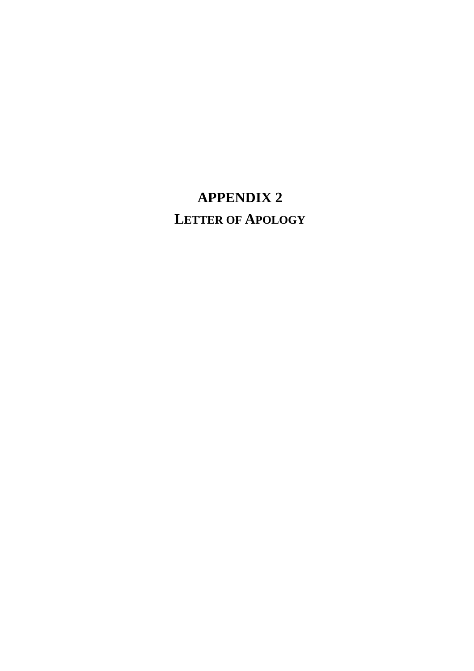# **APPENDIX 2 LETTER OF APOLOGY**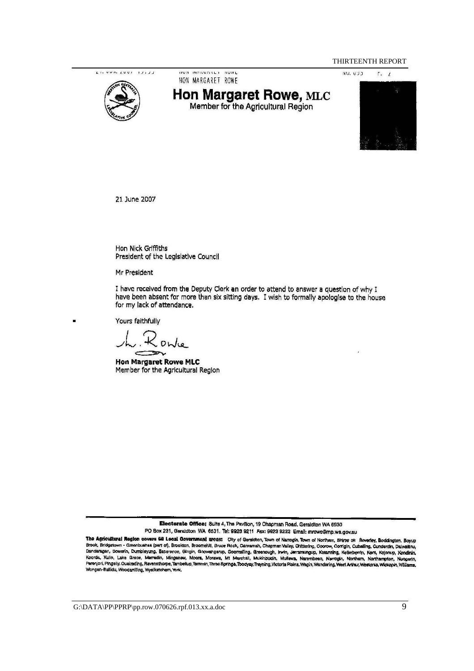THIRTEENTH REPORT

CH VVIN EVOT 12122



UVIL MONNONLI **INVIFE** HON MARGARET ROWE

# **Hon Margaret Rowe, MLC**<br>Member for the Agricultural Region



21 June 2007

Hon Nick Griffiths President of the Legislative Council

Mr President

I have received from the Deputy Clerk an order to attend to answer a question of why I have been absent for more than six sitting days. I wish to formally apologise to the house for my lack of attendance.

Yours faithfully

Owle

**Hon Margaret Rowe MLC** Member for the Agricultural Region

Electorate Office: Suite 4, The Pavilion, 19 Chapman Road, Geraldton WA 6530 PO Box 231, Geraldton WA 6531. Tel: 9923 9211 Fax: 9923 9222 Email: mrowe@mp.wa.gov.au

The Agricultural Region covers 68 Local Government areas: City of Gersidton, Town of Narrogin, Town of Northam, Shiree of: Boverley, Boddingten, Boyup<br>Brook, Bridgetown - Greenbushas (part of), Brookton, Broomehill, Bruce Dandaragan, Dowshin, Dumbleyung, Esperance, Gingin, Gnowangsrup, Goomalling, Greenough, Irwin, Jerramungup, Kataming, Kellerberin, Kent, Kojonny, Kondinin, Kent, Kojonny, Kondinin, Kent, Kojonny, Kondinin, Kent, Kojonny, K Wongan-Ballidu, Woodanilling, Wyalkatchem, York.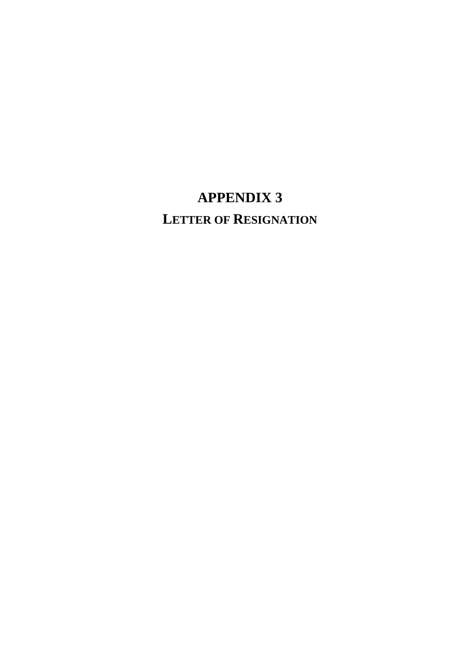# **APPENDIX 3 LETTER OF RESIGNATION**